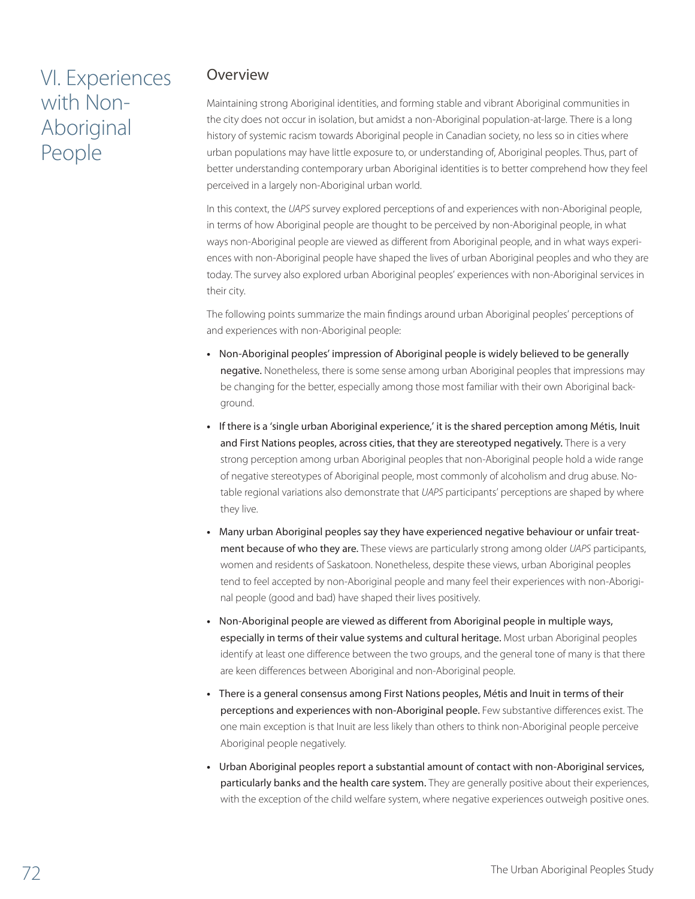# VI. Experiences with Non-Aboriginal People

## Overview

Maintaining strong Aboriginal identities, and forming stable and vibrant Aboriginal communities in the city does not occur in isolation, but amidst a non-Aboriginal population-at-large. There is a long history of systemic racism towards Aboriginal people in Canadian society, no less so in cities where urban populations may have little exposure to, or understanding of, Aboriginal peoples. Thus, part of better understanding contemporary urban Aboriginal identities is to better comprehend how they feel perceived in a largely non-Aboriginal urban world.

In this context, the *UAPS* survey explored perceptions of and experiences with non-Aboriginal people, in terms of how Aboriginal people are thought to be perceived by non-Aboriginal people, in what ways non-Aboriginal people are viewed as different from Aboriginal people, and in what ways experiences with non-Aboriginal people have shaped the lives of urban Aboriginal peoples and who they are today. The survey also explored urban Aboriginal peoples' experiences with non-Aboriginal services in their city.

The following points summarize the main findings around urban Aboriginal peoples' perceptions of and experiences with non-Aboriginal people:

- **•**  Non-Aboriginal peoples' impression of Aboriginal people is widely believed to be generally negative. Nonetheless, there is some sense among urban Aboriginal peoples that impressions may be changing for the better, especially among those most familiar with their own Aboriginal background.
- **•**  If there is a 'single urban Aboriginal experience,' it is the shared perception among Métis, Inuit and First Nations peoples, across cities, that they are stereotyped negatively. There is a very strong perception among urban Aboriginal peoples that non-Aboriginal people hold a wide range of negative stereotypes of Aboriginal people, most commonly of alcoholism and drug abuse. Notable regional variations also demonstrate that *UAPS* participants' perceptions are shaped by where they live.
- **•**  Many urban Aboriginal peoples say they have experienced negative behaviour or unfair treatment because of who they are. These views are particularly strong among older *UAPS* participants, women and residents of Saskatoon. Nonetheless, despite these views, urban Aboriginal peoples tend to feel accepted by non-Aboriginal people and many feel their experiences with non-Aboriginal people (good and bad) have shaped their lives positively.
- **•**  Non-Aboriginal people are viewed as different from Aboriginal people in multiple ways, especially in terms of their value systems and cultural heritage. Most urban Aboriginal peoples identify at least one difference between the two groups, and the general tone of many is that there are keen differences between Aboriginal and non-Aboriginal people.
- **•**  There is a general consensus among First Nations peoples, Métis and Inuit in terms of their perceptions and experiences with non-Aboriginal people. Few substantive differences exist. The one main exception is that Inuit are less likely than others to think non-Aboriginal people perceive Aboriginal people negatively.
- **•**  Urban Aboriginal peoples report a substantial amount of contact with non-Aboriginal services, particularly banks and the health care system. They are generally positive about their experiences, with the exception of the child welfare system, where negative experiences outweigh positive ones.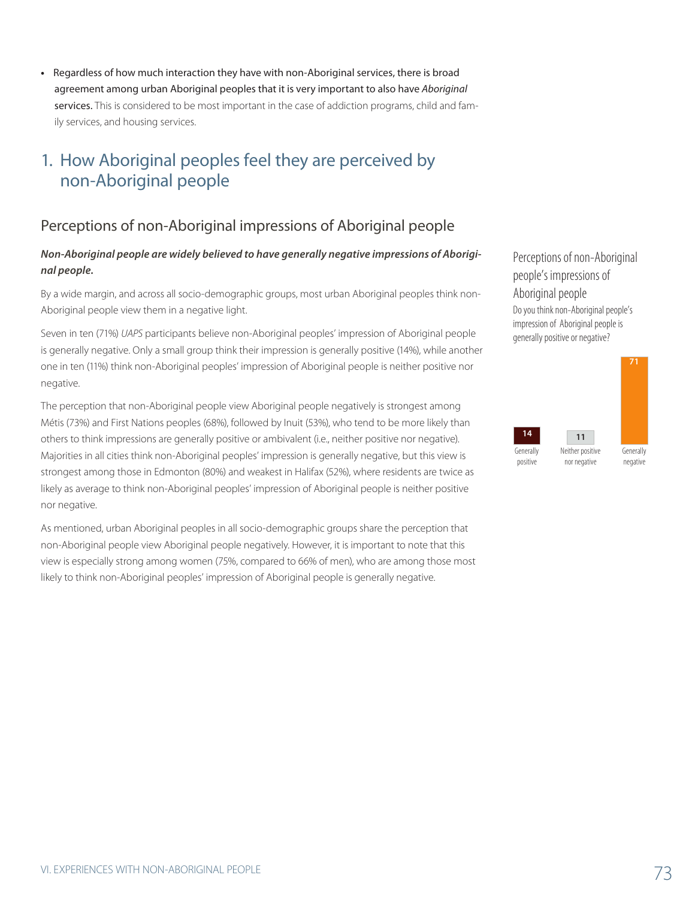**•**  Regardless of how much interaction they have with non-Aboriginal services, there is broad agreement among urban Aboriginal peoples that it is very important to also have *Aboriginal* services. This is considered to be most important in the case of addiction programs, child and family services, and housing services.

# 1. How Aboriginal peoples feel they are perceived by non-Aboriginal people

# Perceptions of non-Aboriginal impressions of Aboriginal people

#### *Non-Aboriginal people are widely believed to have generally negative impressions of Aboriginal people.*

By a wide margin, and across all socio-demographic groups, most urban Aboriginal peoples think non-Aboriginal people view them in a negative light.

Seven in ten (71%) *UAPS* participants believe non-Aboriginal peoples' impression of Aboriginal people is generally negative. Only a small group think their impression is generally positive (14%), while another one in ten (11%) think non-Aboriginal peoples' impression of Aboriginal people is neither positive nor negative.

The perception that non-Aboriginal people view Aboriginal people negatively is strongest among Métis (73%) and First Nations peoples (68%), followed by Inuit (53%), who tend to be more likely than others to think impressions are generally positive or ambivalent (i.e., neither positive nor negative). Majorities in all cities think non-Aboriginal peoples' impression is generally negative, but this view is strongest among those in Edmonton (80%) and weakest in Halifax (52%), where residents are twice as likely as average to think non-Aboriginal peoples' impression of Aboriginal people is neither positive nor negative.

As mentioned, urban Aboriginal peoples in all socio-demographic groups share the perception that non-Aboriginal people view Aboriginal people negatively. However, it is important to note that this view is especially strong among women (75%, compared to 66% of men), who are among those most likely to think non-Aboriginal peoples' impression of Aboriginal people is generally negative.

Perceptions of non-Aboriginal people's impressions of Aboriginal people Do you think non-Aboriginal people's impression of Aboriginal people is generally positive or negative?



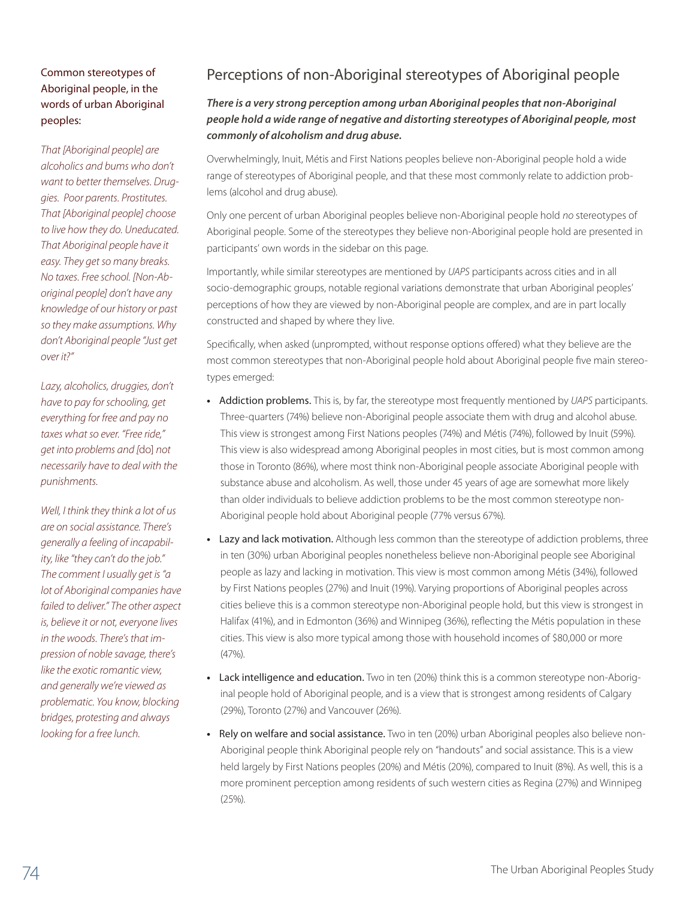#### Common stereotypes of Aboriginal people, in the words of urban Aboriginal peoples:

*That [Aboriginal people] are alcoholics and bums who don't want to better themselves. Druggies. Poor parents. Prostitutes. That [Aboriginal people] choose to live how they do. Uneducated. That Aboriginal people have it easy. They get so many breaks. No taxes. Free school. [Non-Aboriginal people] don't have any knowledge of our history or past so they make assumptions. Why don't Aboriginal people "Just get over it?"*

*Lazy, alcoholics, druggies, don't have to pay for schooling, get everything for free and pay no taxes what so ever. "Free ride," get into problems and [*do] *not necessarily have to deal with the punishments.*

*Well, I think they think a lot of us are on social assistance. There's generally a feeling of incapability, like "they can't do the job." The comment I usually get is "a lot of Aboriginal companies have failed to deliver." The other aspect is, believe it or not, everyone lives in the woods. There's that impression of noble savage, there's like the exotic romantic view, and generally we're viewed as problematic. You know, blocking bridges, protesting and always looking for a free lunch.* 

# Perceptions of non-Aboriginal stereotypes of Aboriginal people

### *There is a very strong perception among urban Aboriginal peoples that non-Aboriginal people hold a wide range of negative and distorting stereotypes of Aboriginal people, most commonly of alcoholism and drug abuse.*

Overwhelmingly, Inuit, Métis and First Nations peoples believe non-Aboriginal people hold a wide range of stereotypes of Aboriginal people, and that these most commonly relate to addiction problems (alcohol and drug abuse).

Only one percent of urban Aboriginal peoples believe non-Aboriginal people hold *no* stereotypes of Aboriginal people. Some of the stereotypes they believe non-Aboriginal people hold are presented in participants' own words in the sidebar on this page.

Importantly, while similar stereotypes are mentioned by *UAPS* participants across cities and in all socio-demographic groups, notable regional variations demonstrate that urban Aboriginal peoples' perceptions of how they are viewed by non-Aboriginal people are complex, and are in part locally constructed and shaped by where they live.

Specifically, when asked (unprompted, without response options offered) what they believe are the most common stereotypes that non-Aboriginal people hold about Aboriginal people five main stereotypes emerged:

- **•**  Addiction problems. This is, by far, the stereotype most frequently mentioned by *UAPS* participants. Three-quarters (74%) believe non-Aboriginal people associate them with drug and alcohol abuse. This view is strongest among First Nations peoples (74%) and Métis (74%), followed by Inuit (59%). This view is also widespread among Aboriginal peoples in most cities, but is most common among those in Toronto (86%), where most think non-Aboriginal people associate Aboriginal people with substance abuse and alcoholism. As well, those under 45 years of age are somewhat more likely than older individuals to believe addiction problems to be the most common stereotype non-Aboriginal people hold about Aboriginal people (77% versus 67%).
- Lazy and lack motivation. Although less common than the stereotype of addiction problems, three in ten (30%) urban Aboriginal peoples nonetheless believe non-Aboriginal people see Aboriginal people as lazy and lacking in motivation. This view is most common among Métis (34%), followed by First Nations peoples (27%) and Inuit (19%). Varying proportions of Aboriginal peoples across cities believe this is a common stereotype non-Aboriginal people hold, but this view is strongest in Halifax (41%), and in Edmonton (36%) and Winnipeg (36%), reflecting the Métis population in these cities. This view is also more typical among those with household incomes of \$80,000 or more (47%).
- **•**  Lack intelligence and education. Two in ten (20%) think this is a common stereotype non-Aboriginal people hold of Aboriginal people, and is a view that is strongest among residents of Calgary (29%), Toronto (27%) and Vancouver (26%).
- Rely on welfare and social assistance. Two in ten (20%) urban Aboriginal peoples also believe non-Aboriginal people think Aboriginal people rely on "handouts" and social assistance. This is a view held largely by First Nations peoples (20%) and Métis (20%), compared to Inuit (8%). As well, this is a more prominent perception among residents of such western cities as Regina (27%) and Winnipeg  $(25%)$ .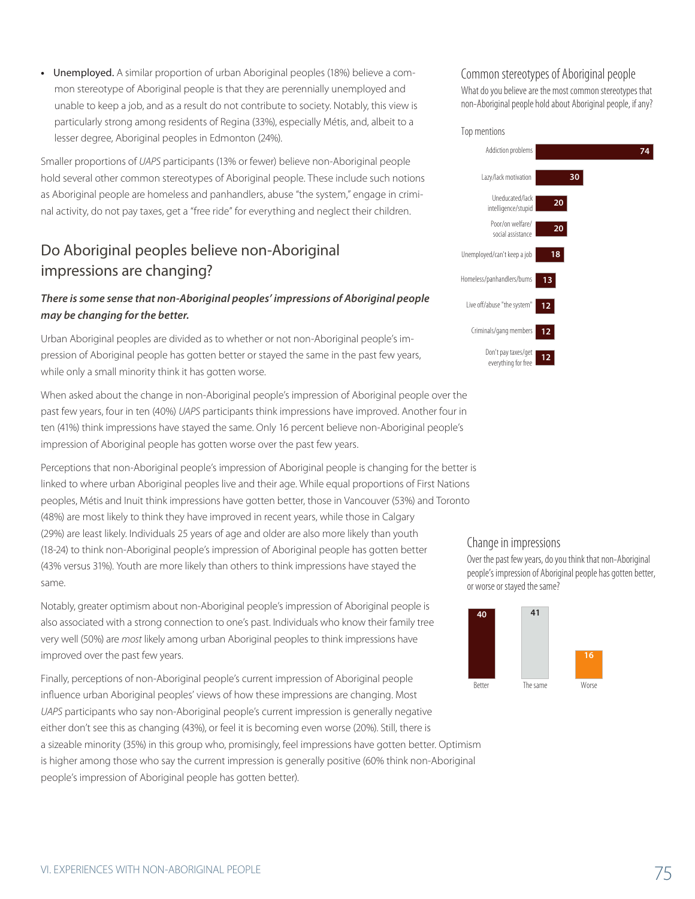• Unemployed. A similar proportion of urban Aboriginal peoples (18%) believe a common stereotype of Aboriginal people is that they are perennially unemployed and unable to keep a job, and as a result do not contribute to society. Notably, this view is particularly strong among residents of Regina (33%), especially Métis, and, albeit to a lesser degree, Aboriginal peoples in Edmonton (24%).

Smaller proportions of *UAPS* participants (13% or fewer) believe non-Aboriginal people hold several other common stereotypes of Aboriginal people. These include such notions as Aboriginal people are homeless and panhandlers, abuse "the system," engage in criminal activity, do not pay taxes, get a "free ride" for everything and neglect their children.

# Do Aboriginal peoples believe non-Aboriginal impressions are changing?

#### *There is some sense that non-Aboriginal peoples' impressions of Aboriginal people may be changing for the better.*

Urban Aboriginal peoples are divided as to whether or not non-Aboriginal people's impression of Aboriginal people has gotten better or stayed the same in the past few years, while only a small minority think it has gotten worse.

When asked about the change in non-Aboriginal people's impression of Aboriginal people over the past few years, four in ten (40%) *UAPS* participants think impressions have improved. Another four in ten (41%) think impressions have stayed the same. Only 16 percent believe non-Aboriginal people's impression of Aboriginal people has gotten worse over the past few years.

Perceptions that non-Aboriginal people's impression of Aboriginal people is changing for the better is linked to where urban Aboriginal peoples live and their age. While equal proportions of First Nations peoples, Métis and Inuit think impressions have gotten better, those in Vancouver (53%) and Toronto (48%) are most likely to think they have improved in recent years, while those in Calgary (29%) are least likely. Individuals 25 years of age and older are also more likely than youth (18-24) to think non-Aboriginal people's impression of Aboriginal people has gotten better (43% versus 31%). Youth are more likely than others to think impressions have stayed the same.

Notably, greater optimism about non-Aboriginal people's impression of Aboriginal people is also associated with a strong connection to one's past. Individuals who know their family tree very well (50%) are *most* likely among urban Aboriginal peoples to think impressions have improved over the past few years.

Finally, perceptions of non-Aboriginal people's current impression of Aboriginal people influence urban Aboriginal peoples' views of how these impressions are changing. Most *UAPS* participants who say non-Aboriginal people's current impression is generally negative either don't see this as changing (43%), or feel it is becoming even worse (20%). Still, there is a sizeable minority (35%) in this group who, promisingly, feel impressions have gotten better. Optimism is higher among those who say the current impression is generally positive (60% think non-Aboriginal people's impression of Aboriginal people has gotten better).

#### Common stereotypes of Aboriginal people

What do you believe are the most common stereotypes that non-Aboriginal people hold about Aboriginal people, if any?

#### Top mentions



#### Change in impressions

Over the past few years, do you think that non-Aboriginal people's impression of Aboriginal people has gotten better, or worse or stayed the same?

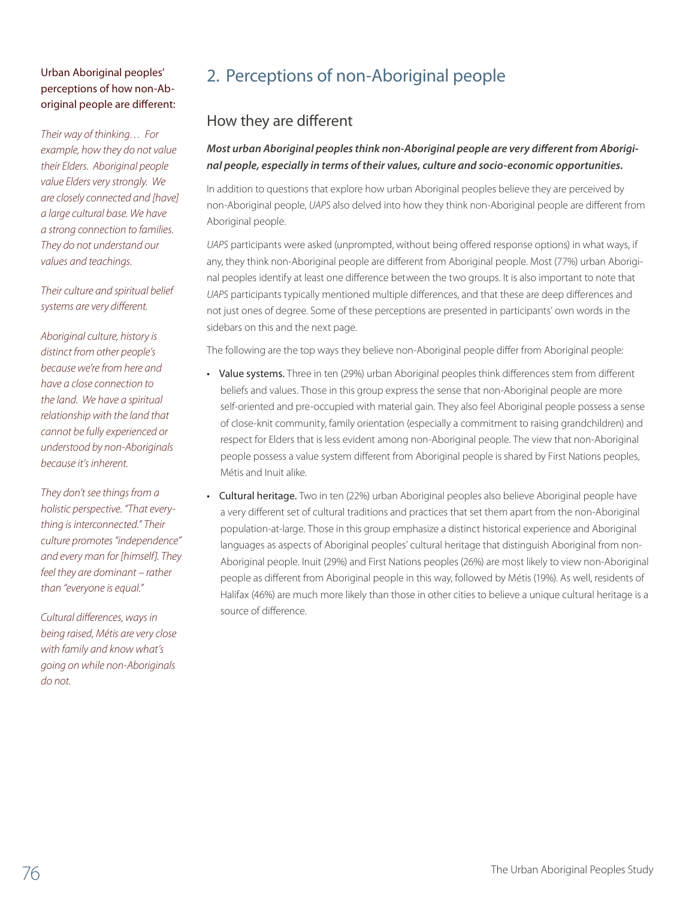### Urban Aboriginal peoples' perceptions of how non-Aboriginal people are different:

*Their way of thinking… For example, how they do not value their Elders. Aboriginal people value Elders very strongly. We are closely connected and [have] a large cultural base. We have a strong connection to families. They do not understand our values and teachings.*

*Their culture and spiritual belief systems are very different.*

*Aboriginal culture, history is distinct from other people's because we're from here and have a close connection to the land. We have a spiritual relationship with the land that cannot be fully experienced or understood by non-Aboriginals because it's inherent.*

*They don't see things from a holistic perspective. "That everything is interconnected." Their culture promotes "independence" and every man for [himself]. They feel they are dominant – rather than "everyone is equal."* 

*Cultural differences, ways in being raised, Métis are very close with family and know what's going on while non-Aboriginals do not.*

# 2. Perceptions of non-Aboriginal people

## How they are different

### *Most urban Aboriginal peoples think non-Aboriginal people are very different from Aboriginal people, especially in terms of their values, culture and socio-economic opportunities.*

In addition to questions that explore how urban Aboriginal peoples believe they are perceived by non-Aboriginal people, *UAPS* also delved into how they think non-Aboriginal people are different from Aboriginal people.

*UAPS* participants were asked (unprompted, without being offered response options) in what ways, if any, they think non-Aboriginal people are different from Aboriginal people. Most (77%) urban Aboriginal peoples identify at least one difference between the two groups. It is also important to note that *UAPS* participants typically mentioned multiple differences, and that these are deep differences and not just ones of degree. Some of these perceptions are presented in participants' own words in the sidebars on this and the next page.

The following are the top ways they believe non-Aboriginal people differ from Aboriginal people:

- Value systems. Three in ten (29%) urban Aboriginal peoples think differences stem from different beliefs and values. Those in this group express the sense that non-Aboriginal people are more self-oriented and pre-occupied with material gain. They also feel Aboriginal people possess a sense of close-knit community, family orientation (especially a commitment to raising grandchildren) and respect for Elders that is less evident among non-Aboriginal people. The view that non-Aboriginal people possess a value system different from Aboriginal people is shared by First Nations peoples, Métis and Inuit alike.
- Cultural heritage. Two in ten (22%) urban Aboriginal peoples also believe Aboriginal people have a very different set of cultural traditions and practices that set them apart from the non-Aboriginal population-at-large. Those in this group emphasize a distinct historical experience and Aboriginal languages as aspects of Aboriginal peoples' cultural heritage that distinguish Aboriginal from non-Aboriginal people. Inuit (29%) and First Nations peoples (26%) are most likely to view non-Aboriginal people as different from Aboriginal people in this way, followed by Métis (19%). As well, residents of Halifax (46%) are much more likely than those in other cities to believe a unique cultural heritage is a source of difference.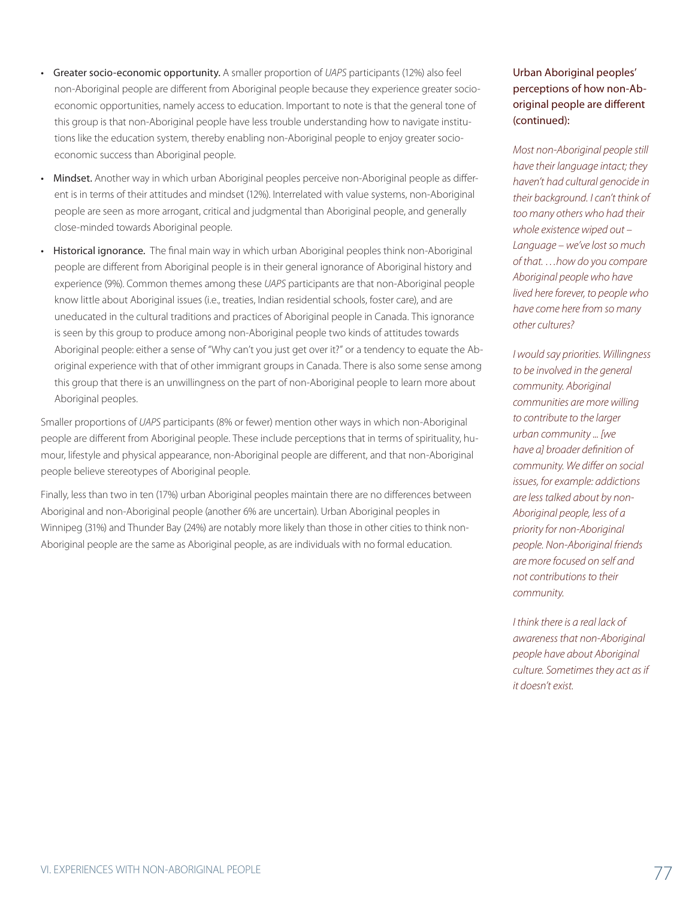- Greater socio-economic opportunity. A smaller proportion of *UAPS* participants (12%) also feel non-Aboriginal people are different from Aboriginal people because they experience greater socioeconomic opportunities, namely access to education. Important to note is that the general tone of this group is that non-Aboriginal people have less trouble understanding how to navigate institutions like the education system, thereby enabling non-Aboriginal people to enjoy greater socioeconomic success than Aboriginal people.
- Mindset. Another way in which urban Aboriginal peoples perceive non-Aboriginal people as different is in terms of their attitudes and mindset (12%). Interrelated with value systems, non-Aboriginal people are seen as more arrogant, critical and judgmental than Aboriginal people, and generally close-minded towards Aboriginal people.
- Historical ignorance. The final main way in which urban Aboriginal peoples think non-Aboriginal people are different from Aboriginal people is in their general ignorance of Aboriginal history and experience (9%). Common themes among these *UAPS* participants are that non-Aboriginal people know little about Aboriginal issues (i.e., treaties, Indian residential schools, foster care), and are uneducated in the cultural traditions and practices of Aboriginal people in Canada. This ignorance is seen by this group to produce among non-Aboriginal people two kinds of attitudes towards Aboriginal people: either a sense of "Why can't you just get over it?" or a tendency to equate the Aboriginal experience with that of other immigrant groups in Canada. There is also some sense among this group that there is an unwillingness on the part of non-Aboriginal people to learn more about Aboriginal peoples.

Smaller proportions of *UAPS* participants (8% or fewer) mention other ways in which non-Aboriginal people are different from Aboriginal people. These include perceptions that in terms of spirituality, humour, lifestyle and physical appearance, non-Aboriginal people are different, and that non-Aboriginal people believe stereotypes of Aboriginal people.

Finally, less than two in ten (17%) urban Aboriginal peoples maintain there are no differences between Aboriginal and non-Aboriginal people (another 6% are uncertain). Urban Aboriginal peoples in Winnipeg (31%) and Thunder Bay (24%) are notably more likely than those in other cities to think non-Aboriginal people are the same as Aboriginal people, as are individuals with no formal education.

Urban Aboriginal peoples' perceptions of how non-Aboriginal people are different (continued):

*Most non-Aboriginal people still have their language intact; they haven't had cultural genocide in their background. I can't think of too many others who had their whole existence wiped out – Language – we've lost so much of that. …how do you compare Aboriginal people who have lived here forever, to people who have come here from so many other cultures?*

*I would say priorities. Willingness to be involved in the general community. Aboriginal communities are more willing to contribute to the larger urban community ... [we have a] broader definition of community. We differ on social issues, for example: addictions are less talked about by non-Aboriginal people, less of a priority for non-Aboriginal people. Non-Aboriginal friends are more focused on self and not contributions to their community.*

*I think there is a real lack of awareness that non-Aboriginal people have about Aboriginal culture. Sometimes they act as if it doesn't exist.*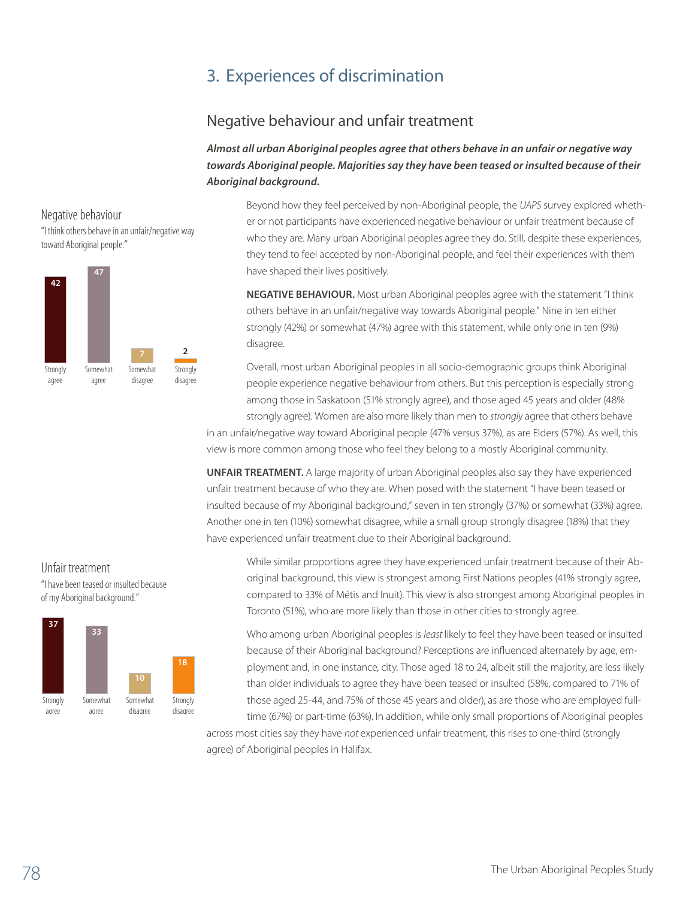# 3. Experiences of discrimination

## Negative behaviour and unfair treatment

*Almost all urban Aboriginal peoples agree that others behave in an unfair or negative way towards Aboriginal people. Majorities say they have been teased or insulted because of their Aboriginal background.* 

Negative behaviour "I think others behave in an unfair/negative way toward Aboriginal people."



Beyond how they feel perceived by non-Aboriginal people, the *UAPS* survey explored whether or not participants have experienced negative behaviour or unfair treatment because of who they are. Many urban Aboriginal peoples agree they do. Still, despite these experiences, they tend to feel accepted by non-Aboriginal people, and feel their experiences with them have shaped their lives positively.

**NEGATIVE BEHAVIOUR.** Most urban Aboriginal peoples agree with the statement "I think others behave in an unfair/negative way towards Aboriginal people." Nine in ten either strongly (42%) or somewhat (47%) agree with this statement, while only one in ten (9%) disagree.

Overall, most urban Aboriginal peoples in all socio-demographic groups think Aboriginal people experience negative behaviour from others. But this perception is especially strong among those in Saskatoon (51% strongly agree), and those aged 45 years and older (48% strongly agree). Women are also more likely than men to *strongly* agree that others behave

in an unfair/negative way toward Aboriginal people (47% versus 37%), as are Elders (57%). As well, this view is more common among those who feel they belong to a mostly Aboriginal community.

**UNFAIR TREATMENT.** A large majority of urban Aboriginal peoples also say they have experienced unfair treatment because of who they are. When posed with the statement "I have been teased or insulted because of my Aboriginal background," seven in ten strongly (37%) or somewhat (33%) agree. Another one in ten (10%) somewhat disagree, while a small group strongly disagree (18%) that they have experienced unfair treatment due to their Aboriginal background.

While similar proportions agree they have experienced unfair treatment because of their Aboriginal background, this view is strongest among First Nations peoples (41% strongly agree, compared to 33% of Métis and Inuit). This view is also strongest among Aboriginal peoples in Toronto (51%), who are more likely than those in other cities to strongly agree.

Who among urban Aboriginal peoples is *least* likely to feel they have been teased or insulted because of their Aboriginal background? Perceptions are influenced alternately by age, employment and, in one instance, city. Those aged 18 to 24, albeit still the majority, are less likely than older individuals to agree they have been teased or insulted (58%, compared to 71% of those aged 25-44, and 75% of those 45 years and older), as are those who are employed fulltime (67%) or part-time (63%). In addition, while only small proportions of Aboriginal peoples

across most cities say they have *not* experienced unfair treatment, this rises to one-third (strongly agree) of Aboriginal peoples in Halifax.

#### Unfair treatment

"I have been teased or insulted because of my Aboriginal background."

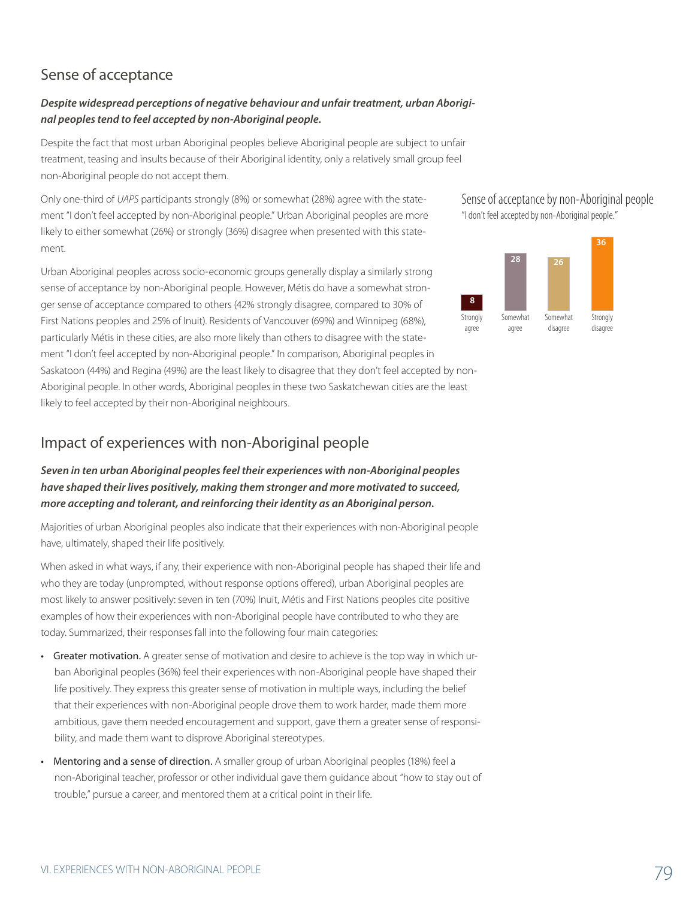# Sense of acceptance

### *Despite widespread perceptions of negative behaviour and unfair treatment, urban Aboriginal peoples tend to feel accepted by non-Aboriginal people.*

Despite the fact that most urban Aboriginal peoples believe Aboriginal people are subject to unfair treatment, teasing and insults because of their Aboriginal identity, only a relatively small group feel non-Aboriginal people do not accept them.

Only one-third of *UAPS* participants strongly (8%) or somewhat (28%) agree with the statement "I don't feel accepted by non-Aboriginal people." Urban Aboriginal peoples are more likely to either somewhat (26%) or strongly (36%) disagree when presented with this statement.

Urban Aboriginal peoples across socio-economic groups generally display a similarly strong sense of acceptance by non-Aboriginal people. However, Métis do have a somewhat stronger sense of acceptance compared to others (42% strongly disagree, compared to 30% of First Nations peoples and 25% of Inuit). Residents of Vancouver (69%) and Winnipeg (68%), particularly Métis in these cities, are also more likely than others to disagree with the statement "I don't feel accepted by non-Aboriginal people." In comparison, Aboriginal peoples in Saskatoon (44%) and Regina (49%) are the least likely to disagree that they don't feel accepted by non-Aboriginal people. In other words, Aboriginal peoples in these two Saskatchewan cities are the least likely to feel accepted by their non-Aboriginal neighbours.

## Impact of experiences with non-Aboriginal people

### *Seven in ten urban Aboriginal peoples feel their experiences with non-Aboriginal peoples have shaped their lives positively, making them stronger and more motivated to succeed, more accepting and tolerant, and reinforcing their identity as an Aboriginal person.*

Majorities of urban Aboriginal peoples also indicate that their experiences with non-Aboriginal people have, ultimately, shaped their life positively.

When asked in what ways, if any, their experience with non-Aboriginal people has shaped their life and who they are today (unprompted, without response options offered), urban Aboriginal peoples are most likely to answer positively: seven in ten (70%) Inuit, Métis and First Nations peoples cite positive examples of how their experiences with non-Aboriginal people have contributed to who they are today. Summarized, their responses fall into the following four main categories:

- Greater motivation. A greater sense of motivation and desire to achieve is the top way in which urban Aboriginal peoples (36%) feel their experiences with non-Aboriginal people have shaped their life positively. They express this greater sense of motivation in multiple ways, including the belief that their experiences with non-Aboriginal people drove them to work harder, made them more ambitious, gave them needed encouragement and support, gave them a greater sense of responsibility, and made them want to disprove Aboriginal stereotypes.
- Mentoring and a sense of direction. A smaller group of urban Aboriginal peoples (18%) feel a non-Aboriginal teacher, professor or other individual gave them guidance about "how to stay out of trouble," pursue a career, and mentored them at a critical point in their life.



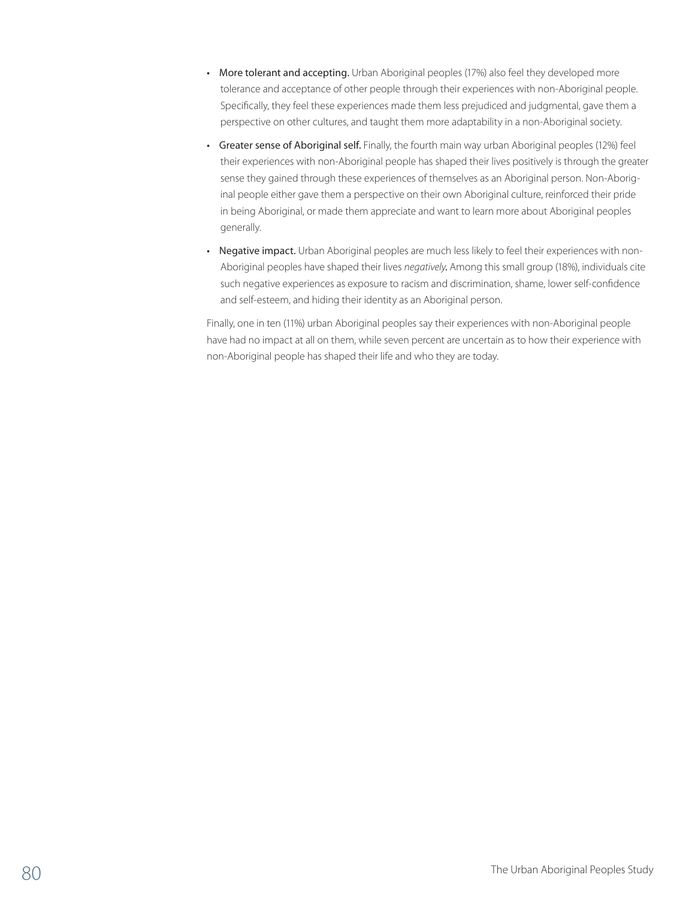- More tolerant and accepting. Urban Aboriginal peoples (17%) also feel they developed more tolerance and acceptance of other people through their experiences with non-Aboriginal people. Specifically, they feel these experiences made them less prejudiced and judgmental, gave them a perspective on other cultures, and taught them more adaptability in a non-Aboriginal society.
- Greater sense of Aboriginal self. Finally, the fourth main way urban Aboriginal peoples (12%) feel their experiences with non-Aboriginal people has shaped their lives positively is through the greater sense they gained through these experiences of themselves as an Aboriginal person. Non-Aboriginal people either gave them a perspective on their own Aboriginal culture, reinforced their pride in being Aboriginal, or made them appreciate and want to learn more about Aboriginal peoples generally.
- Negative impact. Urban Aboriginal peoples are much less likely to feel their experiences with non-Aboriginal peoples have shaped their lives *negatively.* Among this small group (18%), individuals cite such negative experiences as exposure to racism and discrimination, shame, lower self-confidence and self-esteem, and hiding their identity as an Aboriginal person.

Finally, one in ten (11%) urban Aboriginal peoples say their experiences with non-Aboriginal people have had no impact at all on them, while seven percent are uncertain as to how their experience with non-Aboriginal people has shaped their life and who they are today.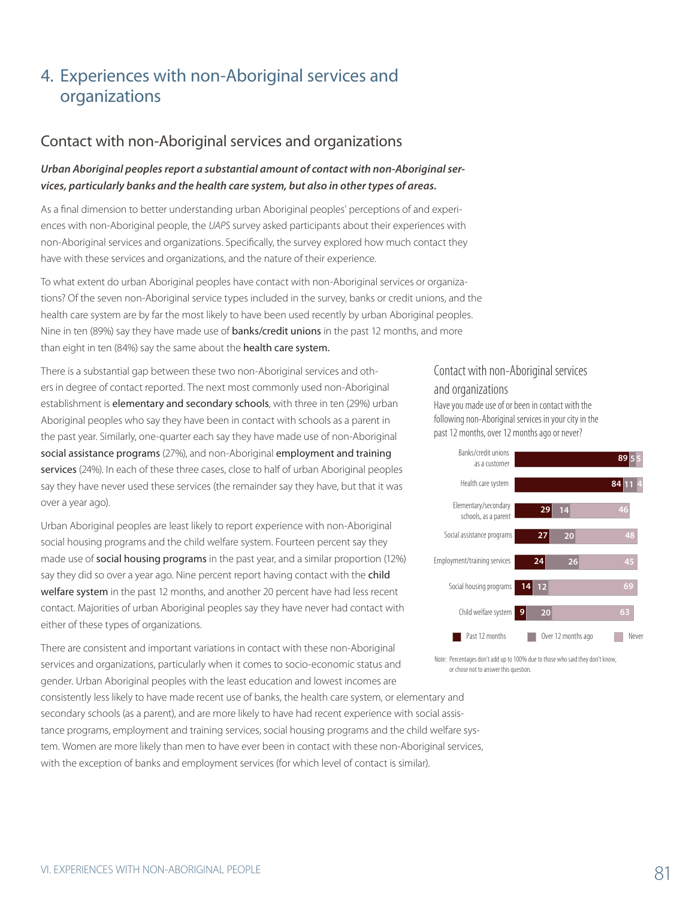# 4. Experiences with non-Aboriginal services and organizations

### Contact with non-Aboriginal services and organizations

#### *Urban Aboriginal peoples report a substantial amount of contact with non-Aboriginal services, particularly banks and the health care system, but also in other types of areas.*

As a final dimension to better understanding urban Aboriginal peoples' perceptions of and experiences with non-Aboriginal people, the *UAPS* survey asked participants about their experiences with non-Aboriginal services and organizations. Specifically, the survey explored how much contact they have with these services and organizations, and the nature of their experience.

To what extent do urban Aboriginal peoples have contact with non-Aboriginal services or organizations? Of the seven non-Aboriginal service types included in the survey, banks or credit unions, and the health care system are by far the most likely to have been used recently by urban Aboriginal peoples. Nine in ten (89%) say they have made use of **banks/credit unions** in the past 12 months, and more than eight in ten (84%) say the same about the health care system.

There is a substantial gap between these two non-Aboriginal services and others in degree of contact reported. The next most commonly used non-Aboriginal establishment is elementary and secondary schools, with three in ten (29%) urban Aboriginal peoples who say they have been in contact with schools as a parent in the past year. Similarly, one-quarter each say they have made use of non-Aboriginal social assistance programs (27%), and non-Aboriginal employment and training services (24%). In each of these three cases, close to half of urban Aboriginal peoples say they have never used these services (the remainder say they have, but that it was over a year ago).

Urban Aboriginal peoples are least likely to report experience with non-Aboriginal social housing programs and the child welfare system. Fourteen percent say they made use of social housing programs in the past year, and a similar proportion (12%) say they did so over a year ago. Nine percent report having contact with the child welfare system in the past 12 months, and another 20 percent have had less recent contact. Majorities of urban Aboriginal peoples say they have never had contact with either of these types of organizations.

There are consistent and important variations in contact with these non-Aboriginal services and organizations, particularly when it comes to socio-economic status and gender. Urban Aboriginal peoples with the least education and lowest incomes are consistently less likely to have made recent use of banks, the health care system, or elementary and secondary schools (as a parent), and are more likely to have had recent experience with social assistance programs, employment and training services, social housing programs and the child welfare system. Women are more likely than men to have ever been in contact with these non-Aboriginal services, with the exception of banks and employment services (for which level of contact is similar).

## Contact with non-Aboriginal services and organizations

Have you made use of or been in contact with the following non-Aboriginal services in your city in the past 12 months, over 12 months ago or never?



Note: Percentages don't add up to 100% due to those who said they don't know, or chose not to answer this question.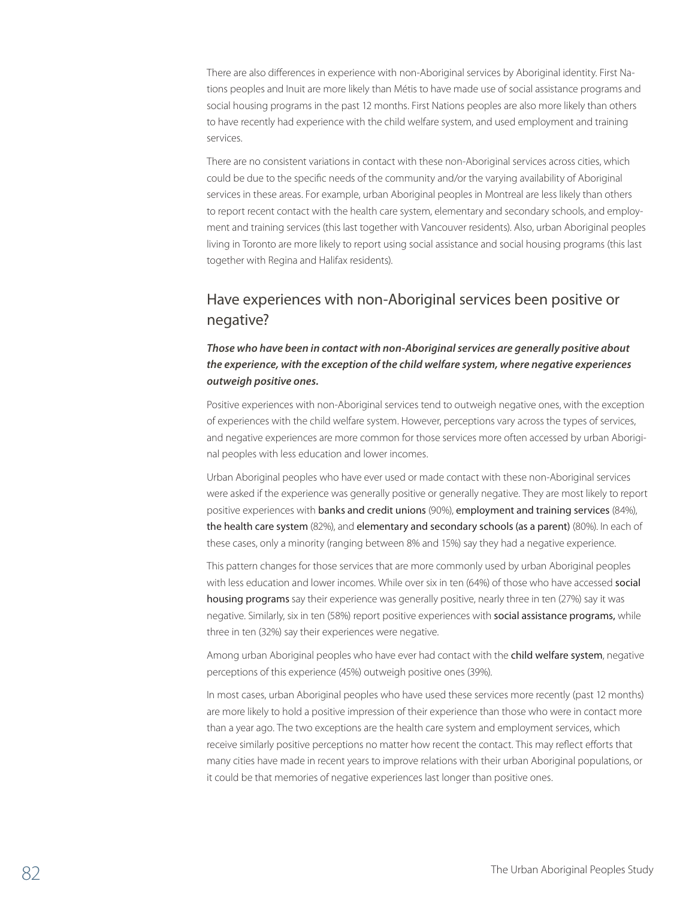There are also differences in experience with non-Aboriginal services by Aboriginal identity. First Nations peoples and Inuit are more likely than Métis to have made use of social assistance programs and social housing programs in the past 12 months. First Nations peoples are also more likely than others to have recently had experience with the child welfare system, and used employment and training services.

There are no consistent variations in contact with these non-Aboriginal services across cities, which could be due to the specific needs of the community and/or the varying availability of Aboriginal services in these areas. For example, urban Aboriginal peoples in Montreal are less likely than others to report recent contact with the health care system, elementary and secondary schools, and employment and training services (this last together with Vancouver residents). Also, urban Aboriginal peoples living in Toronto are more likely to report using social assistance and social housing programs (this last together with Regina and Halifax residents).

# Have experiences with non-Aboriginal services been positive or negative?

#### *Those who have been in contact with non-Aboriginal services are generally positive about the experience, with the exception of the child welfare system, where negative experiences outweigh positive ones.*

Positive experiences with non-Aboriginal services tend to outweigh negative ones, with the exception of experiences with the child welfare system. However, perceptions vary across the types of services, and negative experiences are more common for those services more often accessed by urban Aboriginal peoples with less education and lower incomes.

Urban Aboriginal peoples who have ever used or made contact with these non-Aboriginal services were asked if the experience was generally positive or generally negative. They are most likely to report positive experiences with banks and credit unions (90%), employment and training services (84%), the health care system (82%), and elementary and secondary schools (as a parent) (80%). In each of these cases, only a minority (ranging between 8% and 15%) say they had a negative experience.

This pattern changes for those services that are more commonly used by urban Aboriginal peoples with less education and lower incomes. While over six in ten (64%) of those who have accessed social housing programs say their experience was generally positive, nearly three in ten (27%) say it was negative. Similarly, six in ten (58%) report positive experiences with social assistance programs, while three in ten (32%) say their experiences were negative.

Among urban Aboriginal peoples who have ever had contact with the child welfare system, negative perceptions of this experience (45%) outweigh positive ones (39%).

In most cases, urban Aboriginal peoples who have used these services more recently (past 12 months) are more likely to hold a positive impression of their experience than those who were in contact more than a year ago. The two exceptions are the health care system and employment services, which receive similarly positive perceptions no matter how recent the contact. This may reflect efforts that many cities have made in recent years to improve relations with their urban Aboriginal populations, or it could be that memories of negative experiences last longer than positive ones.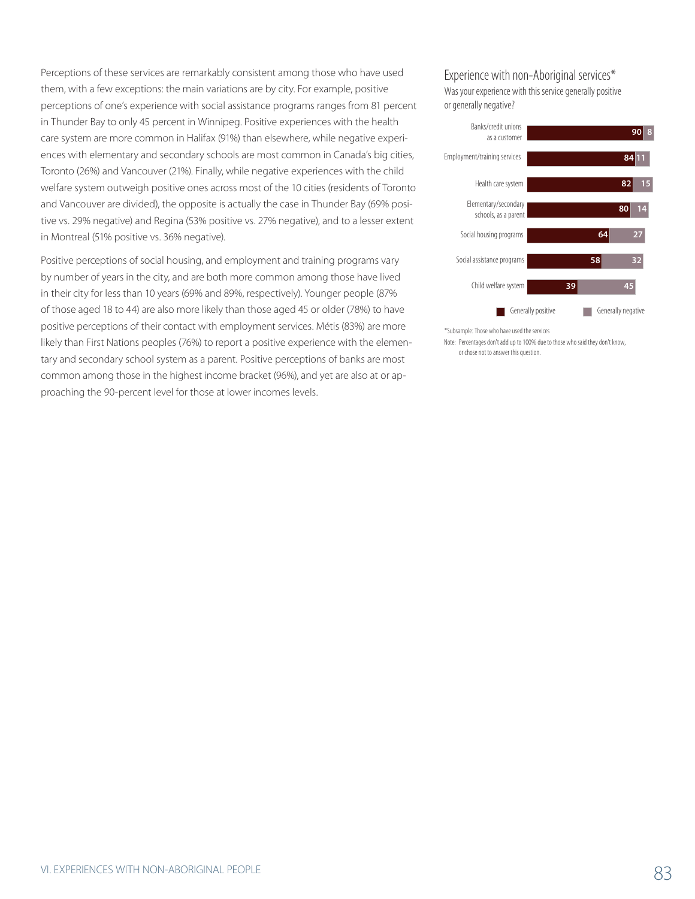Perceptions of these services are remarkably consistent among those who have used them, with a few exceptions: the main variations are by city. For example, positive perceptions of one's experience with social assistance programs ranges from 81 percent in Thunder Bay to only 45 percent in Winnipeg. Positive experiences with the health care system are more common in Halifax (91%) than elsewhere, while negative experiences with elementary and secondary schools are most common in Canada's big cities, Toronto (26%) and Vancouver (21%). Finally, while negative experiences with the child welfare system outweigh positive ones across most of the 10 cities (residents of Toronto and Vancouver are divided), the opposite is actually the case in Thunder Bay (69% positive vs. 29% negative) and Regina (53% positive vs. 27% negative), and to a lesser extent in Montreal (51% positive vs. 36% negative).

Positive perceptions of social housing, and employment and training programs vary by number of years in the city, and are both more common among those have lived in their city for less than 10 years (69% and 89%, respectively). Younger people (87% of those aged 18 to 44) are also more likely than those aged 45 or older (78%) to have positive perceptions of their contact with employment services. Métis (83%) are more likely than First Nations peoples (76%) to report a positive experience with the elementary and secondary school system as a parent. Positive perceptions of banks are most common among those in the highest income bracket (96%), and yet are also at or approaching the 90-percent level for those at lower incomes levels.

#### Experience with non-Aboriginal services\* Was your experience with this service generally positive

or generally negative?



\*Subsample: Those who have used the services

Note: Percentages don't add up to 100% due to those who said they don't know, or chose not to answer this question.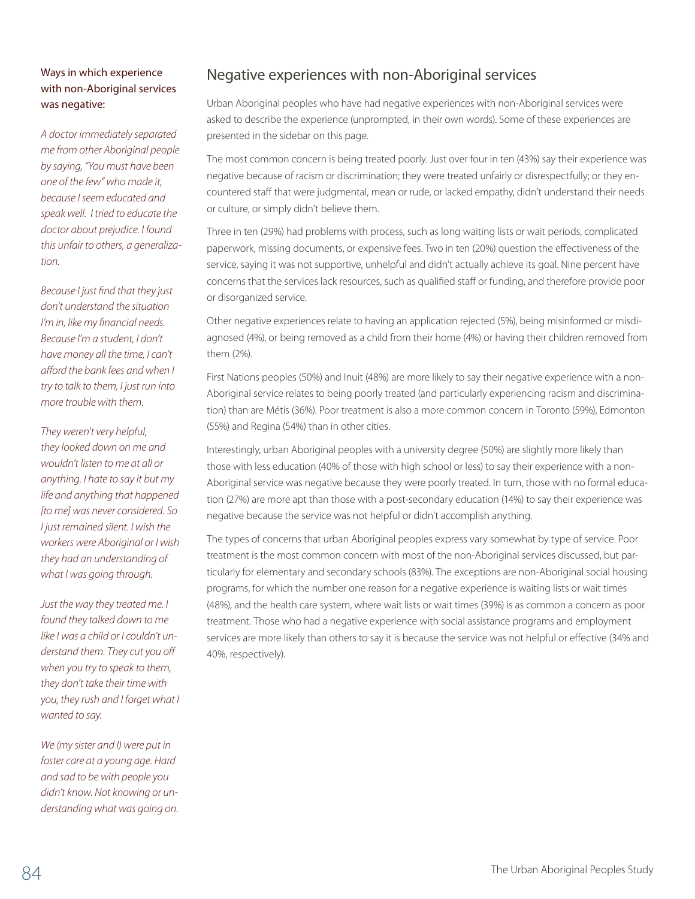#### Ways in which experience with non-Aboriginal services was negative:

*A doctor immediately separated me from other Aboriginal people by saying, "You must have been one of the few" who made it, because I seem educated and speak well. I tried to educate the doctor about prejudice. I found this unfair to others, a generalization.*

*Because I just find that they just don't understand the situation I'm in, like my financial needs. Because I'm a student, I don't have money all the time, I can't afford the bank fees and when I try to talk to them, I just run into more trouble with them.* 

*They weren't very helpful, they looked down on me and wouldn't listen to me at all or anything. I hate to say it but my life and anything that happened [to me] was never considered. So I just remained silent. I wish the workers were Aboriginal or I wish they had an understanding of what I was going through.*

*Just the way they treated me. I found they talked down to me like I was a child or I couldn't understand them. They cut you off when you try to speak to them, they don't take their time with you, they rush and I forget what I wanted to say.*

*We (my sister and I) were put in foster care at a young age. Hard and sad to be with people you didn't know. Not knowing or understanding what was going on.*

## Negative experiences with non-Aboriginal services

Urban Aboriginal peoples who have had negative experiences with non-Aboriginal services were asked to describe the experience (unprompted, in their own words). Some of these experiences are presented in the sidebar on this page.

The most common concern is being treated poorly. Just over four in ten (43%) say their experience was negative because of racism or discrimination; they were treated unfairly or disrespectfully; or they encountered staff that were judgmental, mean or rude, or lacked empathy, didn't understand their needs or culture, or simply didn't believe them.

Three in ten (29%) had problems with process, such as long waiting lists or wait periods, complicated paperwork, missing documents, or expensive fees. Two in ten (20%) question the effectiveness of the service, saying it was not supportive, unhelpful and didn't actually achieve its goal. Nine percent have concerns that the services lack resources, such as qualified staff or funding, and therefore provide poor or disorganized service.

Other negative experiences relate to having an application rejected (5%), being misinformed or misdiagnosed (4%), or being removed as a child from their home (4%) or having their children removed from them (2%).

First Nations peoples (50%) and Inuit (48%) are more likely to say their negative experience with a non-Aboriginal service relates to being poorly treated (and particularly experiencing racism and discrimination) than are Métis (36%). Poor treatment is also a more common concern in Toronto (59%), Edmonton (55%) and Regina (54%) than in other cities.

Interestingly, urban Aboriginal peoples with a university degree (50%) are slightly more likely than those with less education (40% of those with high school or less) to say their experience with a non-Aboriginal service was negative because they were poorly treated. In turn, those with no formal education (27%) are more apt than those with a post-secondary education (14%) to say their experience was negative because the service was not helpful or didn't accomplish anything.

The types of concerns that urban Aboriginal peoples express vary somewhat by type of service. Poor treatment is the most common concern with most of the non-Aboriginal services discussed, but particularly for elementary and secondary schools (83%). The exceptions are non-Aboriginal social housing programs, for which the number one reason for a negative experience is waiting lists or wait times (48%), and the health care system, where wait lists or wait times (39%) is as common a concern as poor treatment. Those who had a negative experience with social assistance programs and employment services are more likely than others to say it is because the service was not helpful or effective (34% and 40%, respectively).